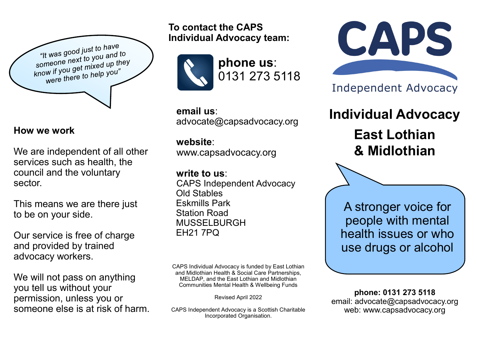

#### **How we work**

We are independent of all other services such as health, the council and the voluntary sector.

This means we are there just to be on your side.

Our service is free of charge and provided by trained advocacy workers.

We will not pass on anything you tell us without your permission, unless you or someone else is at risk of harm. **To contact the CAPS Individual Advocacy team:**



**phone us**: 0131 273 5118

 **email us**: advocate@capsadvocacy.org

# **website**:

www.capsadvocacy.org

**write to us**:

 CAPS Independent Advocacy Old Stables Eskmills Park Station Road MUSSELBURGH EH21 7PQ

CAPS Individual Advocacy is funded by East Lothian and Midlothian Health & Social Care Partnerships, MELDAP, and the East Lothian and Midlothian Communities Mental Health & Wellbeing Funds

Revised April 2022

CAPS Independent Advocacy is a Scottish Charitable Incorporated Organisation.



**Independent Advocacy** 

**Individual Advocacy East Lothian & Midlothian**

A stronger voice for people with mental health issues or who use drugs or alcohol

**phone: 0131 273 5118** email: advocate@capsadvocacy.org web: www.capsadvocacy.org